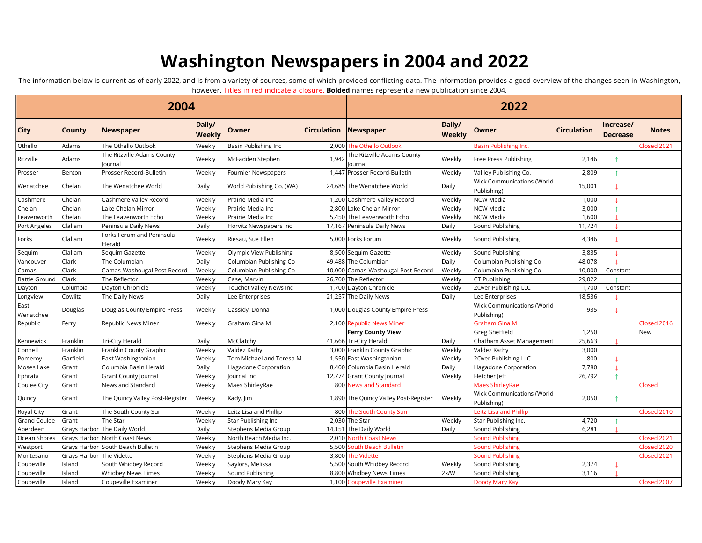## **Washington Newspapers in 2004 and 2022**

The information below is current as of early 2022, and is from a variety of sources, some of which provided conflicting data. The information provides a good overview of the changes seen in Washington, however. Titles in red indicate a closure. **Bolded** names represent a new publication since 2004.

|                   |                          |                                       |                  |                           |                    | TIOWEVEL. TILIES III TEU IIIUILALE A LIOSUFE. <b>DUIUEU</b> TIAHIES TEDI ESEITI A HEW DUDIILALION SINCE 200 <del>4</del> . |                  |                                           |                    |                              |              |  |  |
|-------------------|--------------------------|---------------------------------------|------------------|---------------------------|--------------------|----------------------------------------------------------------------------------------------------------------------------|------------------|-------------------------------------------|--------------------|------------------------------|--------------|--|--|
|                   |                          | 2004                                  |                  |                           |                    | 2022                                                                                                                       |                  |                                           |                    |                              |              |  |  |
| <b>City</b>       | County                   | <b>Newspaper</b>                      | Daily/<br>Weekly | Owner                     | <b>Circulation</b> | Newspaper                                                                                                                  | Daily/<br>Weekly | Owner                                     | <b>Circulation</b> | Increase/<br><b>Decrease</b> | <b>Notes</b> |  |  |
| Othello           | Adams                    | The Othello Outlook                   | Weekly           | Basin Publishing Inc      |                    | 2,000 The Othello Outlook                                                                                                  |                  | <b>Basin Publishing Inc.</b>              |                    |                              | Closed 2021  |  |  |
| Ritzville         | Adams                    | The Ritzville Adams County<br>Journal | Weekly           | McFadden Stephen          | 1.942              | The Ritzville Adams County<br>Journal                                                                                      | Weekly           | Free Press Publishing                     | 2,146              | $\uparrow$                   |              |  |  |
| Prosser           | Benton                   | Prosser Record-Bulletin               | Weekly           | Fournier Newspapers       |                    | 1,447 Prosser Record-Bulletin                                                                                              | Weekly           | Vallley Publishing Co.                    | 2,809              |                              |              |  |  |
| Wenatchee         | Chelan                   | The Wenatchee World                   | Daily            | World Publishing Co. (WA) |                    | 24,685 The Wenatchee World                                                                                                 | Daily            | Wick Communications (World<br>Publishing) | 15,001             | T                            |              |  |  |
| Cashmere          | Chelan                   | Cashmere Valley Record                | Weekly           | Prairie Media Inc         |                    | 1,200 Cashmere Valley Record                                                                                               | Weekly           | <b>NCW Media</b>                          | 1,000              |                              |              |  |  |
| Chelan            | Chelan                   | Lake Chelan Mirror                    | Weekly           | Prairie Media Inc         |                    | 2,800 Lake Chelan Mirror                                                                                                   | Weekly           | <b>NCW Media</b>                          | 3,000              |                              |              |  |  |
| Leavenworth       | Chelan                   | The Leavenworth Echo                  | Weekly           | Prairie Media Inc         |                    | 5,450 The Leavenworth Echo                                                                                                 | Weekly           | <b>NCW Media</b>                          | 1,600              |                              |              |  |  |
| Port Angeles      | Clallam                  | Peninsula Daily News                  | Daily            | Horvitz Newspapers Inc    |                    | 17,167 Peninsula Daily News                                                                                                | Daily            | Sound Publishing                          | 11,724             |                              |              |  |  |
| Forks             | Clallam                  | Forks Forum and Peninsula<br>Herald   | Weekly           | Riesau, Sue Ellen         |                    | 5,000 Forks Forum                                                                                                          | Weekly           | Sound Publishing                          | 4,346              |                              |              |  |  |
| Sequim            | Clallam                  | Sequim Gazette                        | Weekly           | Olympic View Publishing   |                    | 8,500 Sequim Gazette                                                                                                       | Weekly           | Sound Publishing                          | 3,835              |                              |              |  |  |
| Vancouver         | Clark                    | The Columbian                         | Daily            | Columbian Publishing Co   |                    | 49,488 The Columbian                                                                                                       | Daily            | Columbian Publishing Co                   | 48,078             |                              |              |  |  |
| Camas             | Clark                    | Camas-Washougal Post-Record           | Weekly           | Columbian Publishing Co   |                    | 10,000 Camas-Washougal Post-Record                                                                                         | Weekly           | Columbian Publishing Co                   | 10,000             | Constant                     |              |  |  |
| Battle Ground     | Clark                    | The Reflector                         | Weekly           | Case, Marvin              |                    | 26,700 The Reflector                                                                                                       | Weekly           | CT Publishing                             | 29,022             |                              |              |  |  |
| Dayton            | Columbia                 | Dayton Chronicle                      | Weekly           | Touchet Valley News Inc   |                    | 1,700 Dayton Chronicle                                                                                                     | Weekly           | 20ver Publishing LLC                      | 1,700              | Constant                     |              |  |  |
| Longview          | Cowlitz                  | The Daily News                        | Daily            | Lee Enterprises           |                    | 21,257 The Daily News                                                                                                      | Daily            | Lee Enterprises                           | 18,536             |                              |              |  |  |
| East<br>Wenatchee | Douglas                  | Douglas County Empire Press           | Weekly           | Cassidy, Donna            |                    | 1,000 Douglas County Empire Press                                                                                          |                  | Wick Communications (World<br>Publishing) | 935                |                              |              |  |  |
| Republic          | Ferry                    | Republic News Miner                   | Weekly           | Graham Gina M             |                    | 2,100 Republic News Miner                                                                                                  |                  | <b>Graham Gina M</b>                      |                    |                              | Closed 2016  |  |  |
|                   |                          |                                       |                  |                           |                    | <b>Ferry County View</b>                                                                                                   |                  | Greg Sheffield                            | 1,250              |                              | New          |  |  |
| Kennewick         | Franklin                 | Tri-City Herald                       | Daily            | McClatchy                 |                    | 41,666 Tri-City Herald                                                                                                     | Daily            | Chatham Asset Management                  | 25,663             |                              |              |  |  |
| Connell           | Franklin                 | Franklin County Graphic               | Weekly           | Valdez Kathy              |                    | 3,000 Franklin County Graphic                                                                                              | Weekly           | Valdez Kathy                              | 3,000              |                              |              |  |  |
| Pomeroy           | Garfield                 | East Washingtonian                    | Weekly           | Tom Michael and Teresa M  |                    | 1,550 East Washingtonian                                                                                                   | Weekly           | 20ver Publishing LLC                      | 800                |                              |              |  |  |
| Moses Lake        | Grant                    | Columbia Basin Herald                 | Daily            | Hagadone Corporation      |                    | 8,400 Columbia Basin Herald                                                                                                | Daily            | Hagadone Corporation                      | 7,780              |                              |              |  |  |
| Ephrata           | Grant                    | Grant County Journal                  | Weekly           | Journal Inc               |                    | 12,774 Grant County Journal                                                                                                | Weekly           | Fletcher Jeff                             | 26,792             |                              |              |  |  |
| Coulee City       | Grant                    | News and Standard                     | Weekly           | Maes ShirleyRae           |                    | 800 News and Standard                                                                                                      |                  | <b>Maes ShirleyRae</b>                    |                    |                              | Closed       |  |  |
| Quincy            | Grant                    | The Quincy Valley Post-Register       | Weekly           | Kady, Jim                 |                    | 1,890 The Quincy Valley Post-Register                                                                                      | Weekly           | Wick Communications (World<br>Publishing) | 2,050              |                              |              |  |  |
| Royal City        | Grant                    | The South County Sun                  | Weekly           | Leitz Lisa and Phillip    |                    | 800 The South County Sun                                                                                                   |                  | Leitz Lisa and Phillip                    |                    |                              | Closed 2010  |  |  |
| Grand Coulee      | Grant                    | The Star                              | Weekly           | Star Publishing Inc.      |                    | 2,030 The Star                                                                                                             | Weekly           | Star Publishing Inc.                      | 4,720              |                              |              |  |  |
| Aberdeen          |                          | Grays Harbor The Daily World          | Daily            | Stephens Media Group      |                    | 14,151 The Daily World                                                                                                     | Daily            | Sound Publishing                          | 6,281              |                              |              |  |  |
| Ocean Shores      |                          | Grays Harbor North Coast News         | Weekly           | North Beach Media Inc.    |                    | 2,010 North Coast News                                                                                                     |                  | <b>Sound Publishing</b>                   |                    |                              | Closed 2021  |  |  |
| Westport          |                          | Grays Harbor South Beach Bulletin     | Weekly           | Stephens Media Group      |                    | 5,500 South Beach Bulletin                                                                                                 |                  | <b>Sound Publishing</b>                   |                    |                              | Closed 2020  |  |  |
| Montesano         | Grays Harbor The Vidette |                                       | Weekly           | Stephens Media Group      |                    | 3,800 The Vidette                                                                                                          |                  | <b>Sound Publishing</b>                   |                    |                              | Closed 2021  |  |  |
| Coupeville        | Island                   | South Whidbey Record                  | Weekly           | Saylors, Melissa          |                    | 5,500 South Whidbey Record                                                                                                 | Weekly           | Sound Publishing                          | 2,374              |                              |              |  |  |
| Coupeville        | Island                   | Whidbey News Times                    | Weekly           | Sound Publishing          |                    | 8,800 Whidbey News Times                                                                                                   | 2x/W             | Sound Publishing                          | 3,116              |                              |              |  |  |
| Coupeville        | Island                   | Coupeville Examiner                   | Weekly           | Doody Mary Kay            |                    | 1,100 Coupeville Examiner                                                                                                  |                  | Doody Mary Kay                            |                    |                              | Closed 2007  |  |  |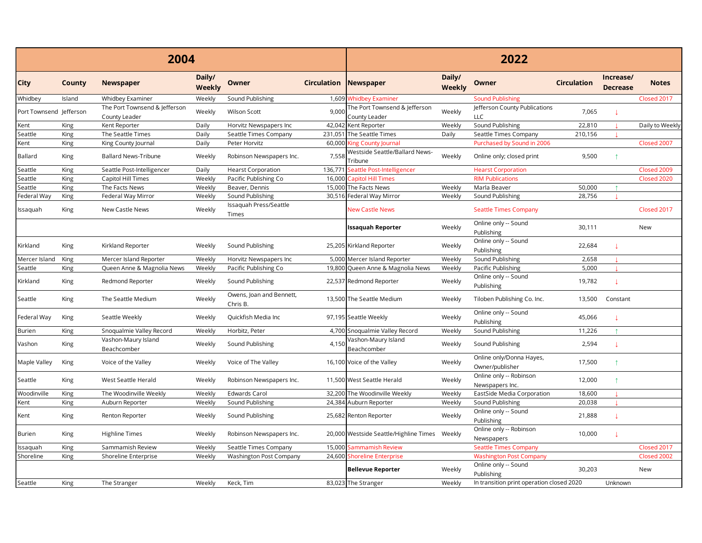|                         |        | 2004                                           |                         |                                      |                    | 2022                                           |                  |                                             |                    |                              |                 |  |
|-------------------------|--------|------------------------------------------------|-------------------------|--------------------------------------|--------------------|------------------------------------------------|------------------|---------------------------------------------|--------------------|------------------------------|-----------------|--|
| <b>City</b>             | County | <b>Newspaper</b>                               | Daily/<br><b>Weekly</b> | <b>Owner</b>                         | <b>Circulation</b> | <b>Newspaper</b>                               | Daily/<br>Weekly | Owner                                       | <b>Circulation</b> | Increase/<br><b>Decrease</b> | <b>Notes</b>    |  |
| Whidbey                 | Island | Whidbey Examiner                               | Weekly                  | Sound Publishing                     |                    | 1,609 Whidbey Examiner                         |                  | <b>Sound Publishing</b>                     |                    |                              | Closed 2017     |  |
| Port Townsend Jefferson |        | The Port Townsend & Jefferson<br>County Leader | Weekly                  | Wilson Scott                         | 9,000              | The Port Townsend & Jefferson<br>County Leader | Weekly           | Jefferson County Publications<br><b>LLC</b> | 7,065              |                              |                 |  |
| Kent                    | King   | Kent Reporter                                  | Daily                   | Horvitz Newspapers Inc               | 42,042             | Kent Reporter                                  | Weekly           | Sound Publishing                            | 22,810             |                              | Daily to Weekly |  |
| Seattle                 | King   | The Seattle Times                              | Daily                   | Seattle Times Company                | 231,051            | The Seattle Times                              | Daily            | Seattle Times Company                       | 210,156            |                              |                 |  |
| Kent                    | King   | King County Journal                            | Daily                   | Peter Horvitz                        | 60,000             | <b>King County Journal</b>                     |                  | Purchased by Sound in 2006                  |                    |                              | Closed 2007     |  |
| <b>Ballard</b>          | King   | <b>Ballard News-Tribune</b>                    | Weekly                  | Robinson Newspapers Inc.             | 7,558              | Westside Seattle/Ballard News-<br>Tribune      | Weekly           | Online only; closed print                   | 9,500              | $\uparrow$                   |                 |  |
| Seattle                 | King   | Seattle Post-Intelligencer                     | Daily                   | <b>Hearst Corporation</b>            | 136,771            | Seattle Post-Intelligencer                     |                  | <b>Hearst Corporation</b>                   |                    |                              | Closed 2009     |  |
| Seattle                 | King   | Capitol Hill Times                             | Weekly                  | Pacific Publishing Co                | 16,000             | <b>Capitol Hill Times</b>                      |                  | <b>RIM Publications</b>                     |                    |                              | Closed 2020     |  |
| Seattle                 | King   | The Facts News                                 | Weekly                  | Beaver, Dennis                       |                    | 15,000 The Facts News                          | Weekly           | Marla Beaver                                | 50,000             |                              |                 |  |
| Federal Way             | King   | Federal Way Mirror                             | Weekly                  | Sound Publishing                     |                    | 30,516 Federal Way Mirror                      | Weekly           | Sound Publishing                            | 28,756             |                              |                 |  |
| Issaquah                | King   | New Castle News                                | Weekly                  | Issaquah Press/Seattle<br>Times      |                    | <b>New Castle News</b>                         |                  | <b>Seattle Times Company</b>                |                    |                              | Closed 2017     |  |
|                         |        |                                                |                         |                                      |                    | <b>Issaquah Reporter</b>                       | Weekly           | Online only -- Sound<br>Publishing          | 30,111             |                              | New             |  |
| Kirkland                | King   | Kirkland Reporter                              | Weekly                  | Sound Publishing                     |                    | 25,205 Kirkland Reporter                       | Weekly           | Online only -- Sound<br>Publishing          | 22,684             | A.                           |                 |  |
| Mercer Island           | King   | Mercer Island Reporter                         | Weekly                  | Horvitz Newspapers Inc               |                    | 5,000 Mercer Island Reporter                   | Weekly           | Sound Publishing                            | 2,658              |                              |                 |  |
| Seattle                 | King   | Queen Anne & Magnolia News                     | Weekly                  | Pacific Publishing Co                | 19,800             | Queen Anne & Magnolia News                     | Weekly           | Pacific Publishing                          | 5,000              |                              |                 |  |
| Kirkland                | King   | Redmond Reporter                               | Weekly                  | Sound Publishing                     |                    | 22,537 Redmond Reporter                        | Weekly           | Online only -- Sound<br>Publishing          | 19,782             |                              |                 |  |
| Seattle                 | King   | The Seattle Medium                             | Weekly                  | Owens, Joan and Bennett,<br>Chris B. |                    | 13,500 The Seattle Medium                      | Weekly           | Tiloben Publishing Co. Inc.                 | 13,500             | Constant                     |                 |  |
| Federal Way             | King   | Seattle Weekly                                 | Weekly                  | Quickfish Media Inc                  |                    | 97,195 Seattle Weekly                          | Weekly           | Online only -- Sound<br>Publishing          | 45,066             |                              |                 |  |
| Burien                  | King   | Snoqualmie Valley Record                       | Weekly                  | Horbitz, Peter                       |                    | 4,700 Snoqualmie Valley Record                 | Weekly           | Sound Publishing                            | 11,226             | $\uparrow$                   |                 |  |
| Vashon                  | King   | Vashon-Maury Island<br>Beachcomber             | Weekly                  | Sound Publishing                     | 4,150              | Vashon-Maury Island<br>Beachcomber             | Weekly           | Sound Publishing                            | 2,594              | J.                           |                 |  |
| Maple Valley            | King   | Voice of the Valley                            | Weekly                  | Voice of The Valley                  |                    | 16,100 Voice of the Valley                     | Weekly           | Online only/Donna Hayes,<br>Owner/publisher | 17,500             | $\uparrow$                   |                 |  |
| Seattle                 | King   | West Seattle Herald                            | Weekly                  | Robinson Newspapers Inc.             |                    | 11,500 West Seattle Herald                     | Weekly           | Online only -- Robinson<br>Newspapers Inc.  | 12,000             | $\uparrow$                   |                 |  |
| Woodinville             | King   | The Woodinville Weekly                         | Weekly                  | Edwards Carol                        |                    | 32,200 The Woodinville Weekly                  | Weekly           | EastSide Media Corporation                  | 18,600             |                              |                 |  |
| Kent                    | King   | Auburn Reporter                                | Weekly                  | Sound Publishing                     |                    | 24,384 Auburn Reporter                         | Weekly           | Sound Publishing                            | 20,038             |                              |                 |  |
| Kent                    | King   | Renton Reporter                                | Weekly                  | Sound Publishing                     |                    | 25,682 Renton Reporter                         | Weekly           | Online only -- Sound<br>Publishing          | 21,888             | A.                           |                 |  |
| <b>Burien</b>           | King   | <b>Highline Times</b>                          | Weekly                  | Robinson Newspapers Inc.             |                    | 20,000 Westside Seattle/Highline Times Weekly  |                  | Online only -- Robinson<br>Newspapers       | 10,000             |                              |                 |  |
| Issaquah                | King   | Sammamish Review                               | Weekly                  | Seattle Times Company                | 15.000             | Sammamish Review                               |                  | <b>Seattle Times Company</b>                |                    |                              | Closed 2017     |  |
| Shoreline               | King   | Shoreline Enterprise                           | Weekly                  | Washington Post Company              | 24,600             | Shoreline Enterprise                           |                  | <b>Washington Post Company</b>              |                    |                              | Closed 2002     |  |
|                         |        |                                                |                         |                                      |                    | <b>Bellevue Reporter</b>                       | Weekly           | Online only -- Sound<br>Publishing          | 30,203             |                              | New             |  |
| Seattle                 | King   | The Stranger                                   | Weekly                  | Keck, Tim                            |                    | 83,023 The Stranger                            | Weekly           | In transition print operation closed 2020   |                    | Unknown                      |                 |  |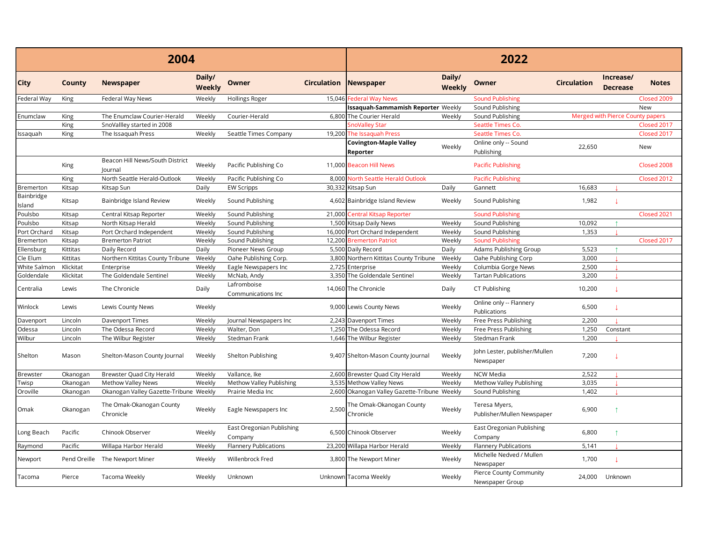|                      |           | 2004                                              |                         |                                      | 2022               |                                              |                         |                                             |                    |                                  |              |
|----------------------|-----------|---------------------------------------------------|-------------------------|--------------------------------------|--------------------|----------------------------------------------|-------------------------|---------------------------------------------|--------------------|----------------------------------|--------------|
| <b>City</b>          | County    | <b>Newspaper</b>                                  | Daily/<br><b>Weekly</b> | Owner                                | <b>Circulation</b> | Newspaper                                    | Daily/<br><b>Weekly</b> | Owner                                       | <b>Circulation</b> | Increase/<br><b>Decrease</b>     | <b>Notes</b> |
| Federal Way          | King      | Federal Way News                                  | Weekly                  | Hollings Roger                       |                    | 15,046 Federal Way News                      |                         | <b>Sound Publishing</b>                     |                    |                                  | Closed 2009  |
|                      |           |                                                   |                         |                                      |                    | Issaquah-Sammamish Reporter Weekly           |                         | Sound Publishing                            |                    |                                  | New          |
| Enumclaw             | King      | The Enumclaw Courier-Herald                       | Weekly                  | Courier-Herald                       |                    | 6,800 The Courier Herald                     | Weekly                  | Sound Publishing                            |                    | Merged with Pierce County papers |              |
|                      | King      | SnoVallley started in 2008                        |                         |                                      |                    | SnoValley Star                               |                         | Seattle Times Co.                           |                    |                                  | Closed 2017  |
| Issaquah             | King      | The Issaguah Press                                | Weekly                  | Seattle Times Company                |                    | 19,200 The Issaguah Press                    |                         | Seattle Times Co.                           |                    |                                  | Closed 2017  |
|                      |           |                                                   |                         |                                      |                    | <b>Covington-Maple Valley</b><br>Reporter    | Weekly                  | Online only -- Sound<br>Publishing          | 22,650             |                                  | New          |
|                      | King      | Beacon Hill News/South District<br><b>Journal</b> | Weekly                  | Pacific Publishing Co                |                    | 11,000 Beacon Hill News                      |                         | <b>Pacific Publishing</b>                   |                    |                                  | Closed 2008  |
|                      | King      | North Seattle Herald-Outlook                      | Weekly                  | Pacific Publishing Co                | 8,000              | North Seattle Herald Outlook                 |                         | <b>Pacific Publishing</b>                   |                    |                                  | Closed 2012  |
| Bremerton            | Kitsap    | Kitsap Sun                                        | Daily                   | <b>EW Scripps</b>                    | 30,332             | Kitsap Sun                                   | Daily                   | Gannett                                     | 16,683             |                                  |              |
| Bainbridge<br>Island | Kitsap    | Bainbridge Island Review                          | Weekly                  | Sound Publishing                     |                    | 4,602 Bainbridge Island Review               | Weekly                  | Sound Publishing                            | 1,982              |                                  |              |
| Poulsbo              | Kitsap    | Central Kitsap Reporter                           | Weekly                  | Sound Publishing                     |                    | 21,000 Central Kitsap Reporter               |                         | <b>Sound Publishing</b>                     |                    |                                  | Closed 2021  |
| Poulsbo              | Kitsap    | North Kitsap Herald                               | Weekly                  | Sound Publishing                     |                    | 1,500 Kitsap Daily News                      | Weekly                  | Sound Publishing                            | 10,092             |                                  |              |
| Port Orchard         | Kitsap    | Port Orchard Independent                          | Weekly                  | Sound Publishing                     |                    | 16,000 Port Orchard Independent              | Weekly                  | Sound Publishing                            | 1,353              |                                  |              |
| Bremerton            | Kitsap    | <b>Bremerton Patriot</b>                          | Weekly                  | Sound Publishing                     |                    | 12,200 Bremerton Patriot                     | Weekly                  | Sound Publishing                            |                    |                                  | Closed 2017  |
| Ellensburg           | Kittitas  | Daily Record                                      | Daily                   | Pioneer News Group                   |                    | 5,500 Daily Record                           | Daily                   | Adams Publishing Group                      | 5,523              | $\uparrow$                       |              |
| Cle Elum             | Kittitas  | Northern Kittitas County Tribune                  | Weekly                  | Oahe Publishing Corp.                |                    | 3,800 Northern Kittitas County Tribune       | Weekly                  | Oahe Publishing Corp                        | 3,000              |                                  |              |
| White Salmon         | Klickitat | Enterprise                                        | Weekly                  | Eagle Newspapers Inc                 |                    | 2,725 Enterprise                             | Weekly                  | Columbia Gorge News                         | 2,500              |                                  |              |
| Goldendale           | Klickitat | The Goldendale Sentinel                           | Weekly                  | McNab, Andy                          |                    | 3,350 The Goldendale Sentinel                | Weekly                  | <b>Tartan Publications</b>                  | 3,200              |                                  |              |
| Centralia            | Lewis     | The Chronicle                                     | Daily                   | Lafromboise<br>Communications Inc    |                    | 14,060 The Chronicle                         | Daily                   | CT Publishing                               | 10,200             |                                  |              |
| Winlock              | Lewis     | Lewis County News                                 | Weekly                  |                                      |                    | 9,000 Lewis County News                      | Weekly                  | Online only -- Flannery<br>Publications     | 6,500              |                                  |              |
| Davenport            | Lincoln   | Davenport Times                                   | Weekly                  | Journal Newspapers Inc               |                    | 2,243 Davenport Times                        | Weekly                  | Free Press Publishing                       | 2,200              |                                  |              |
| Odessa               | Lincoln   | The Odessa Record                                 | Weekly                  | Walter, Don                          |                    | 1,250 The Odessa Record                      | Weekly                  | Free Press Publishing                       | 1,250              | Constant                         |              |
| Wilbur               | Lincoln   | The Wilbur Register                               | Weekly                  | Stedman Frank                        |                    | 1,646 The Wilbur Register                    | Weekly                  | Stedman Frank                               | 1,200              |                                  |              |
| Shelton              | Mason     | Shelton-Mason County Journal                      | Weekly                  | Shelton Publishing                   |                    | 9,407 Shelton-Mason County Journal           | Weekly                  | John Lester, publisher/Mullen<br>Newspaper  | 7,200              |                                  |              |
| <b>Brewster</b>      | Okanogan  | Brewster Quad City Herald                         | Weekly                  | Vallance, Ike                        |                    | 2,600 Brewster Quad City Herald              | Weekly                  | <b>NCW Media</b>                            | 2,522              |                                  |              |
| Twisp                | Okanogan  | <b>Methow Valley News</b>                         | Weekly                  | Methow Valley Publishing             | 3,535              | Methow Valley News                           | Weekly                  | Methow Valley Publishing                    | 3,035              |                                  |              |
| Oroville             | Okanogan  | Okanogan Valley Gazette-Tribune Weekly            |                         | Prairie Media Inc                    |                    | 2,600 Okanogan Valley Gazette-Tribune Weekly |                         | Sound Publishing                            | 1,402              |                                  |              |
| Omak                 | Okanogan  | The Omak-Okanogan County<br>Chronicle             | Weekly                  | Eagle Newspapers Inc                 | 2,500              | The Omak-Okanogan County<br>Chronicle        | Weekly                  | Teresa Myers,<br>Publisher/Mullen Newspaper | 6,900              |                                  |              |
| Long Beach           | Pacific   | Chinook Observer                                  | Weekly                  | East Oregonian Publishing<br>Company |                    | 6,500 Chinook Observer                       | Weekly                  | East Oregonian Publishing<br>Company        | 6,800              |                                  |              |
| Raymond              | Pacific   | Willapa Harbor Herald                             | Weekly                  | <b>Flannery Publications</b>         |                    | 23,200 Willapa Harbor Herald                 | Weekly                  | Flannery Publications                       | 5,141              |                                  |              |
| Newport              |           | Pend Oreille The Newport Miner                    | Weekly                  | Willenbrock Fred                     |                    | 3,800 The Newport Miner                      | Weekly                  | Michelle Nedved / Mullen<br>Newspaper       | 1,700              |                                  |              |
| Tacoma               | Pierce    | Tacoma Weekly                                     | Weekly                  | Unknown                              |                    | Unknown Tacoma Weekly                        | Weekly                  | Pierce County Community<br>Newspaper Group  |                    | 24,000 Unknown                   |              |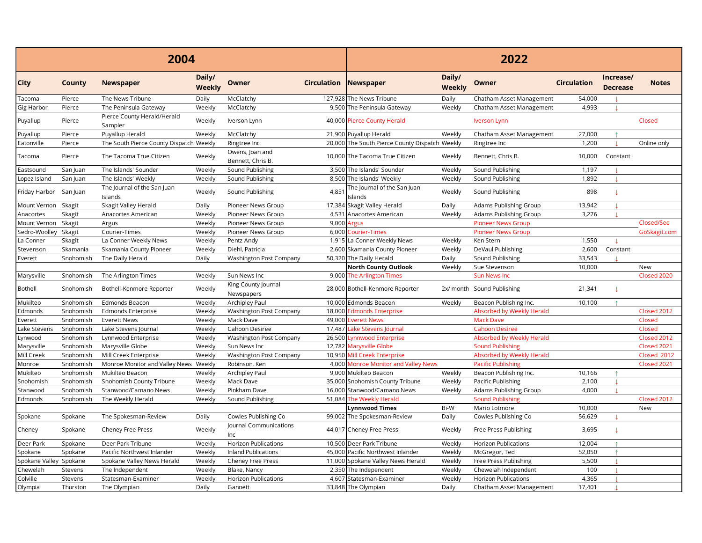|                        |           | 2004                                    |                  |                                      |                    | 2022                                           |                  |                             |                    |                              |              |  |
|------------------------|-----------|-----------------------------------------|------------------|--------------------------------------|--------------------|------------------------------------------------|------------------|-----------------------------|--------------------|------------------------------|--------------|--|
| <b>City</b>            | County    | <b>Newspaper</b>                        | Daily/<br>Weekly | Owner                                | <b>Circulation</b> | Newspaper                                      | Daily/<br>Weekly | Owner                       | <b>Circulation</b> | Increase/<br><b>Decrease</b> | <b>Notes</b> |  |
| Tacoma                 | Pierce    | The News Tribune                        | Daily            | McClatchy                            |                    | 127,928 The News Tribune                       | Daily            | Chatham Asset Management    | 54,000             |                              |              |  |
| Gig Harbor             | Pierce    | The Peninsula Gateway                   | Weekly           | McClatchy                            |                    | 9,500 The Peninsula Gateway                    | Weekly           | Chatham Asset Management    | 4,993              |                              |              |  |
| Puyallup               | Pierce    | Pierce County Herald/Herald<br>Sampler  | Weekly           | Iverson Lynn                         |                    | 40,000 Pierce County Herald                    |                  | <b>Iverson Lynn</b>         |                    |                              | Closed       |  |
| Puyallup               | Pierce    | Puyallup Herald                         | Weekly           | McClatchy                            |                    | 21,900 Puyallup Herald                         | Weekly           | Chatham Asset Management    | 27,000             |                              |              |  |
| Eatonville             | Pierce    | The South Pierce County Dispatch Weekly |                  | Ringtree Inc                         |                    | 20,000 The South Pierce County Dispatch Weekly |                  | Ringtree Inc                | 1.200              |                              | Online only  |  |
| Tacoma                 | Pierce    | The Tacoma True Citizen                 | Weekly           | Owens, Joan and<br>Bennett, Chris B. |                    | 10,000 The Tacoma True Citizen                 | Weekly           | Bennett, Chris B.           | 10,000             | Constant                     |              |  |
| Eastsound              | San Juan  | The Islands' Sounder                    | Weekly           | Sound Publishing                     |                    | 3,500 The Islands' Sounder                     | Weekly           | Sound Publishing            | 1,197              |                              |              |  |
| Lopez Island           | San Juan  | The Islands' Weekly                     | Weekly           | Sound Publishing                     |                    | 8,500 The Islands' Weekly                      | Weekly           | Sound Publishing            | 1,892              |                              |              |  |
| Friday Harbor          | San Juan  | The Journal of the San Juan<br>Islands  | Weekly           | Sound Publishing                     | 4,85'              | The Journal of the San Juan<br>Islands         | Weekly           | Sound Publishing            | 898                | L                            |              |  |
| Mount Vernon           | Skagit    | Skagit Valley Herald                    | Daily            | Pioneer News Group                   |                    | 17,384 Skagit Valley Herald                    | Daily            | Adams Publishing Group      | 13,942             |                              |              |  |
| Anacortes              | Skagit    | Anacortes American                      | Weekly           | Pioneer News Group                   |                    | 4,531 Anacortes American                       | Weekly           | Adams Publishing Group      | 3,276              |                              |              |  |
| Mount Vernon           | Skagit    | Argus                                   | Weekly           | Pioneer News Group                   | 9,000              | Argus                                          |                  | <b>Pioneer News Group</b>   |                    |                              | Closed/See   |  |
| Sedro-Woolley          | Skagit    | Courier-Times                           | Weekly           | Pioneer News Group                   |                    | 6,000 Courier-Times                            |                  | <b>Pioneer News Group</b>   |                    |                              | GoSkagit.com |  |
| La Conner              | Skagit    | La Conner Weekly News                   | Weekly           | Pentz Andy                           |                    | 1,915 La Conner Weekly News                    | Weekly           | Ken Stern                   | 1,550              |                              |              |  |
| Stevenson              | Skamania  | Skamania County Pioneer                 | Weekly           | Diehl, Patricia                      |                    | 2,600 Skamania County Pioneer                  | Weekly           | DeVaul Publishing           | 2,600              | Constant                     |              |  |
| Everett                | Snohomish | The Daily Herald                        | Daily            | Washington Post Company              |                    | 50,320 The Daily Herald                        | Daily            | Sound Publishing            | 33,543             |                              |              |  |
|                        |           |                                         |                  |                                      |                    | <b>North County Outlook</b>                    | Weekly           | Sue Stevenson               | 10,000             |                              | New          |  |
| Marysville             | Snohomish | The Arlington Times                     | Weekly           | Sun News Inc                         |                    | 9,000 The Arlington Times                      |                  | <b>Sun News Inc</b>         |                    |                              | Closed 2020  |  |
| Bothell                | Snohomish | Bothell-Kenmore Reporter                | Weekly           | King County Journal<br>Newspapers    |                    | 28,000 Bothell-Kenmore Reporter                |                  | 2x/ month Sound Publishing  | 21,341             | A.                           |              |  |
| Mukilteo               | Snohomish | Edmonds Beacon                          | Weekly           | Archipley Paul                       |                    | 10,000 Edmonds Beacon                          | Weekly           | Beacon Publishing Inc.      | 10,100             |                              |              |  |
| Edmonds                | Snohomish | <b>Edmonds Enterprise</b>               | Weekly           | Washington Post Company              |                    | 18,000 Edmonds Enterprise                      |                  | Absorbed by Weekly Herald   |                    |                              | Closed 2012  |  |
| Everett                | Snohomish | <b>Everett News</b>                     | Weekly           | Mack Dave                            |                    | 49,000 Everett News                            |                  | <b>Mack Dave</b>            |                    |                              | Closed       |  |
| Lake Stevens           | Snohomish | Lake Stevens Journal                    | Weekly           | Cahoon Desiree                       | 17.487             | Lake Stevens Journal                           |                  | <b>Cahoon Desiree</b>       |                    |                              | Closed       |  |
| .ynwood                | Snohomish | Lynnwood Enterprise                     | Weekly           | Washington Post Company              | 26,500             | <b>Lynnwood Enterprise</b>                     |                  | Absorbed by Weekly Herald   |                    |                              | Closed 2012  |  |
| Marysville             | Snohomish | Marysville Globe                        | Weekly           | Sun News Inc                         | 12.782             | <b>Marysville Globe</b>                        |                  | <b>Sound Publishing</b>     |                    |                              | Closed 2021  |  |
| Mill Creek             | Snohomish | Mill Creek Enterprise                   | Weekly           | Washington Post Company              | 10.950             | <b>Mill Creek Enterprise</b>                   |                  | Absorbed by Weekly Herald   |                    |                              | Closed 2012  |  |
| Monroe                 | Snohomish | Monroe Monitor and Valley News Weekly   |                  | Robinson, Ken                        |                    | 4,000 Monroe Monitor and Valley News           |                  | <b>Pacific Publishing</b>   |                    |                              | Closed 2021  |  |
| Mukilteo               | Snohomish | Mukilteo Beacon                         | Weekly           | Archipley Paul                       |                    | 9,000 Mukilteo Beacon                          | Weekly           | Beacon Publishing Inc.      | 10,166             |                              |              |  |
| Snohomish              | Snohomish | Snohomish County Tribune                | Weekly           | Mack Dave                            |                    | 35,000 Snohomish County Tribune                | Weekly           | Pacific Publishing          | 2,100              |                              |              |  |
| Stanwood               | Snohomish | Stanwood/Camano News                    | Weekly           | Pinkham Dave                         |                    | 16,000 Stanwood/Camano News                    | Weekly           | Adams Publishing Group      | 4,000              |                              |              |  |
| Edmonds                | Snohomish | The Weekly Herald                       | Weekly           | Sound Publishing                     |                    | 51,084 The Weekly Herald                       |                  | <b>Sound Publishing</b>     |                    |                              | Closed 2012  |  |
|                        |           |                                         |                  |                                      |                    | <b>Lynnwood Times</b>                          | Bi-W             | Mario Lotmore               | 10,000             |                              | New          |  |
| Spokane                | Spokane   | The Spokesman-Review                    | Daily            | Cowles Publishing Co                 |                    | 99,002 The Spokesman-Review                    | Daily            | Cowles Publishing Co        | 56,629             |                              |              |  |
| Cheney                 | Spokane   | Cheney Free Press                       | Weekly           | Journal Communications<br>Inc        |                    | 44,017 Cheney Free Press                       | Weekly           | Free Press Publishing       | 3,695              | $\perp$                      |              |  |
| Deer Park              | Spokane   | Deer Park Tribune                       | Weekly           | <b>Horizon Publications</b>          |                    | 10,500 Deer Park Tribune                       | Weekly           | <b>Horizon Publications</b> | 12,004             | $\uparrow$                   |              |  |
| Spokane                | Spokane   | Pacific Northwest Inlander              | Weekly           | <b>Inland Publications</b>           |                    | 45,000 Pacific Northwest Inlander              | Weekly           | McGregor, Ted               | 52,050             |                              |              |  |
| Spokane Valley Spokane |           | Spokane Valley News Herald              | Weekly           | Cheney Free Press                    |                    | 11,000 Spokane Valley News Herald              | Weekly           | Free Press Publishing       | 5,500              |                              |              |  |
| Chewelah               | Stevens   | The Independent                         | Weekly           | Blake, Nancy                         |                    | 2,350 The Independent                          | Weekly           | Chewelah Independent        | 100                |                              |              |  |
| Colville               | Stevens   | Statesman-Examiner                      | Weekly           | <b>Horizon Publications</b>          | 4.607              | Statesman-Examiner                             | Weekly           | <b>Horizon Publications</b> | 4,365              |                              |              |  |
| Olympia                | Thurston  | The Olympian                            | Daily            | Gannett                              |                    | 33,848 The Olympian                            | Daily            | Chatham Asset Management    | 17,401             |                              |              |  |